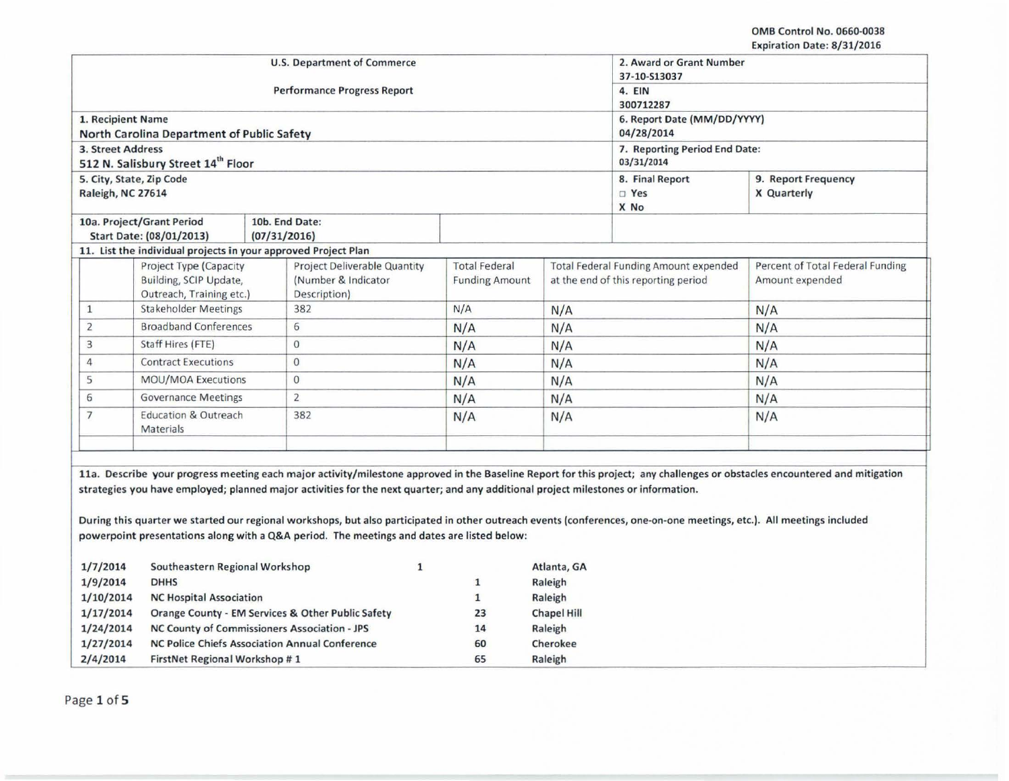OMB Control No. 0660·0038 Expiration Date: 8/31/2016

|                                   |                                                                                                                                    | <b>U.S. Department of Commerce</b>                                                                                                                                         |                       | 2. Award or Grant Number<br>37-10-S13037 |                                     |                                                     |
|-----------------------------------|------------------------------------------------------------------------------------------------------------------------------------|----------------------------------------------------------------------------------------------------------------------------------------------------------------------------|-----------------------|------------------------------------------|-------------------------------------|-----------------------------------------------------|
|                                   |                                                                                                                                    | <b>Performance Progress Report</b>                                                                                                                                         |                       | 4. EIN<br>300712287                      |                                     |                                                     |
|                                   | 1. Recipient Name                                                                                                                  |                                                                                                                                                                            |                       | 6. Report Date (MM/DD/YYYY)              |                                     |                                                     |
|                                   | North Carolina Department of Public Safety                                                                                         |                                                                                                                                                                            |                       | 04/28/2014                               |                                     |                                                     |
|                                   | 3. Street Address                                                                                                                  |                                                                                                                                                                            |                       | 7. Reporting Period End Date:            |                                     |                                                     |
|                                   | 512 N. Salisbury Street 14th Floor                                                                                                 |                                                                                                                                                                            |                       |                                          | 03/31/2014                          |                                                     |
|                                   | 5. City, State, Zip Code<br>Raleigh, NC 27614                                                                                      |                                                                                                                                                                            |                       |                                          | 8. Final Report<br>$\Box$ Yes       | 9. Report Frequency<br>X Quarterly                  |
|                                   |                                                                                                                                    |                                                                                                                                                                            |                       |                                          | X No                                |                                                     |
|                                   | 10a. Project/Grant Period                                                                                                          | 10b. End Date:                                                                                                                                                             |                       |                                          |                                     |                                                     |
|                                   | Start Date: (08/01/2013)                                                                                                           | (07/31/2016)                                                                                                                                                               |                       |                                          |                                     |                                                     |
|                                   |                                                                                                                                    | 11. List the individual projects in your approved Project Plan                                                                                                             |                       |                                          |                                     |                                                     |
|                                   | Project Type (Capacity                                                                                                             | <b>Project Deliverable Quantity</b>                                                                                                                                        | <b>Total Federal</b>  | Total Federal Funding Amount expended    |                                     | Percent of Total Federal Funding<br>Amount expended |
| Building, SCIP Update,            |                                                                                                                                    | (Number & Indicator                                                                                                                                                        | <b>Funding Amount</b> |                                          | at the end of this reporting period |                                                     |
| Outreach, Training etc.)          |                                                                                                                                    | Description)                                                                                                                                                               |                       |                                          |                                     |                                                     |
| <b>Stakeholder Meetings</b><br>1  |                                                                                                                                    | 382                                                                                                                                                                        | N/A                   | N/A                                      |                                     | N/A                                                 |
| <b>Broadband Conferences</b><br>2 |                                                                                                                                    | 6                                                                                                                                                                          | N/A                   | N/A                                      |                                     | N/A                                                 |
| 3                                 | Staff Hires (FTE)                                                                                                                  | $\mathbf{O}$                                                                                                                                                               | N/A                   | N/A                                      |                                     | N/A                                                 |
| <b>Contract Executions</b><br>4   |                                                                                                                                    | $\Omega$                                                                                                                                                                   | N/A                   | N/A                                      |                                     | N/A                                                 |
| <b>MOU/MOA Executions</b><br>5    |                                                                                                                                    | $\mathbf{O}$                                                                                                                                                               | N/A                   | N/A                                      |                                     | N/A                                                 |
| <b>Governance Meetings</b><br>6   |                                                                                                                                    | $\overline{2}$                                                                                                                                                             | N/A                   | N/A                                      |                                     | N/A                                                 |
| $\overline{7}$                    | <b>Education &amp; Outreach</b><br>Materials                                                                                       | 382                                                                                                                                                                        | N/A                   | N/A                                      |                                     | N/A                                                 |
|                                   | strategies you have employed; planned major activities for the next quarter; and any additional project milestones or information. | 11a. Describe your progress meeting each major activity/milestone approved in the Baseline Report for this project; any challenges or obstacles encountered and mitigation |                       |                                          |                                     |                                                     |

| 1/7/2014  | Southeastern Regional Workshop                        |    | Atlanta, GA        |
|-----------|-------------------------------------------------------|----|--------------------|
| 1/9/2014  | <b>DHHS</b>                                           | 1  | Raleigh            |
| 1/10/2014 | <b>NC Hospital Association</b>                        |    | Raleigh            |
| 1/17/2014 | Orange County - EM Services & Other Public Safety     | 23 | <b>Chapel Hill</b> |
| 1/24/2014 | NC County of Commissioners Association - JPS          | 14 | Raleigh            |
| 1/27/2014 | <b>NC Police Chiefs Association Annual Conference</b> | 60 | Cherokee           |
| 2/4/2014  | FirstNet Regional Workshop #1                         | 65 | Raleigh            |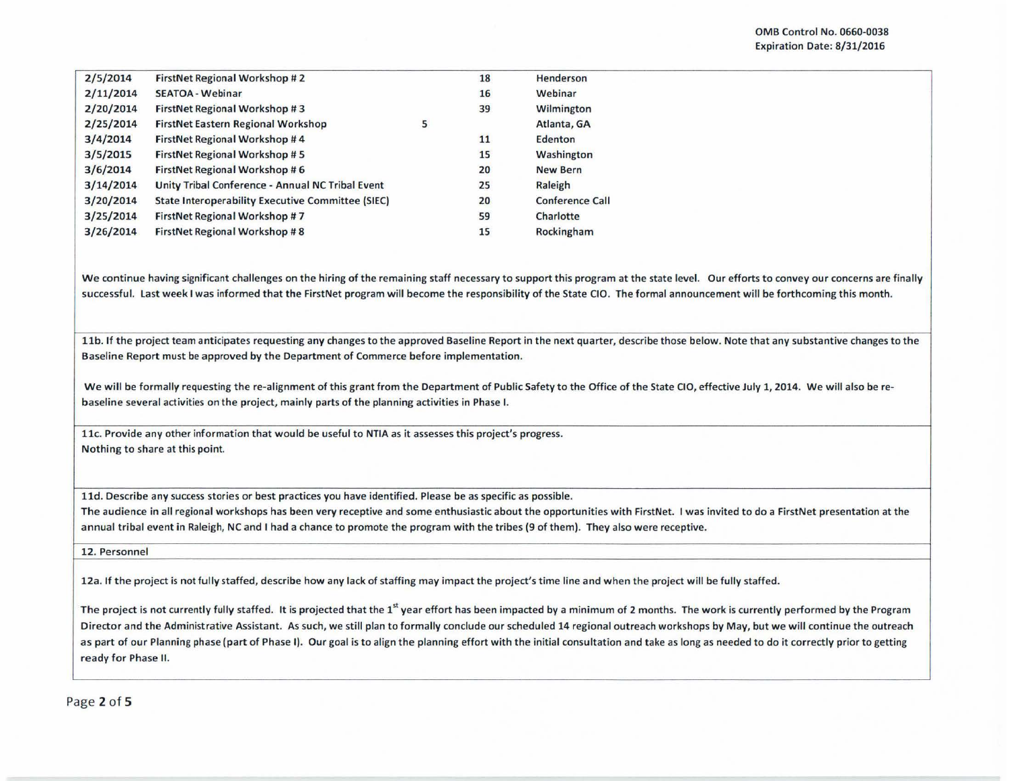| 2/5/2014  | <b>FirstNet Regional Workshop #2</b>                     |   | 18 | Henderson              |
|-----------|----------------------------------------------------------|---|----|------------------------|
| 2/11/2014 | <b>SEATOA - Webinar</b>                                  |   | 16 | Webinar                |
| 2/20/2014 | FirstNet Regional Workshop #3                            |   | 39 | Wilmington             |
| 2/25/2014 | <b>FirstNet Eastern Regional Workshop</b>                | 5 |    | Atlanta, GA            |
| 3/4/2014  | FirstNet Regional Workshop #4                            |   | 11 | Edenton                |
| 3/5/2015  | <b>FirstNet Regional Workshop #5</b>                     |   | 15 | Washington             |
| 3/6/2014  | FirstNet Regional Workshop #6                            |   | 20 | <b>New Bern</b>        |
| 3/14/2014 | Unity Tribal Conference - Annual NC Tribal Event         |   | 25 | Raleigh                |
| 3/20/2014 | <b>State Interoperability Executive Committee (SIEC)</b> |   | 20 | <b>Conference Call</b> |
| 3/25/2014 | FirstNet Regional Workshop #7                            |   | 59 | Charlotte              |
| 3/26/2014 | <b>FirstNet Regional Workshop #8</b>                     |   | 15 | Rockingham             |
|           |                                                          |   |    |                        |

We continue having significant challenges on the hiring of the remaining staff necessary to support this program at the state level. Our efforts to convey our concerns are finally successful. last week I was informed that the FirstNet program will become the responsibility of the State CIO. The formal announcement will be forthcoming this month.

11b. If the project team anticipates requesting any changes to the approved Baseline Report in the next quarter, describe those below. Note that any substantive changes to the Baseline Report must be approved by the Department of Commerce before implementation.

We will be formally requesting the re-alignment of this grant from the Department of Public Safety to the Office of the State CIO, effective July 1, 2014. We will also be rebaseline several activities on the project, mainly parts of the planning activities in Phase I.

11c. Provide any other information that would be useful to NTIA as it assesses this project's progress. Nothing to share at this point.

lld. Describe any success stories or best practices you have identified. Please be as specific as possible.

The audience in all regional workshops has been very receptive and some enthusiastic about the opportunities with FirstNet. I was invited to do a FirstNet presentation at the annual tribal event in Raleigh, NC and I had a chance to promote the program with the tribes (9 of them). They also were receptive.

12. Personnel

12a. If the project is not fully staffed, describe how any lack of staffing may impact the project's time line and when the project will be fully staffed.

The project is not currently fully staffed. It is projected that the  $1<sup>st</sup>$  year effort has been impacted by a minimum of 2 months. The work is currently performed by the Program Director and the Administrative Assistant. As such, we still plan to formally conclude our scheduled 14 regional outreach workshops by May, but we will continue the outreach as part of our Planning phase (part of Phase I). Our goal is to align the planning effort with the initial consultation and take as long as needed to do it correctly prior to getting ready for Phase II.

Page 2 of 5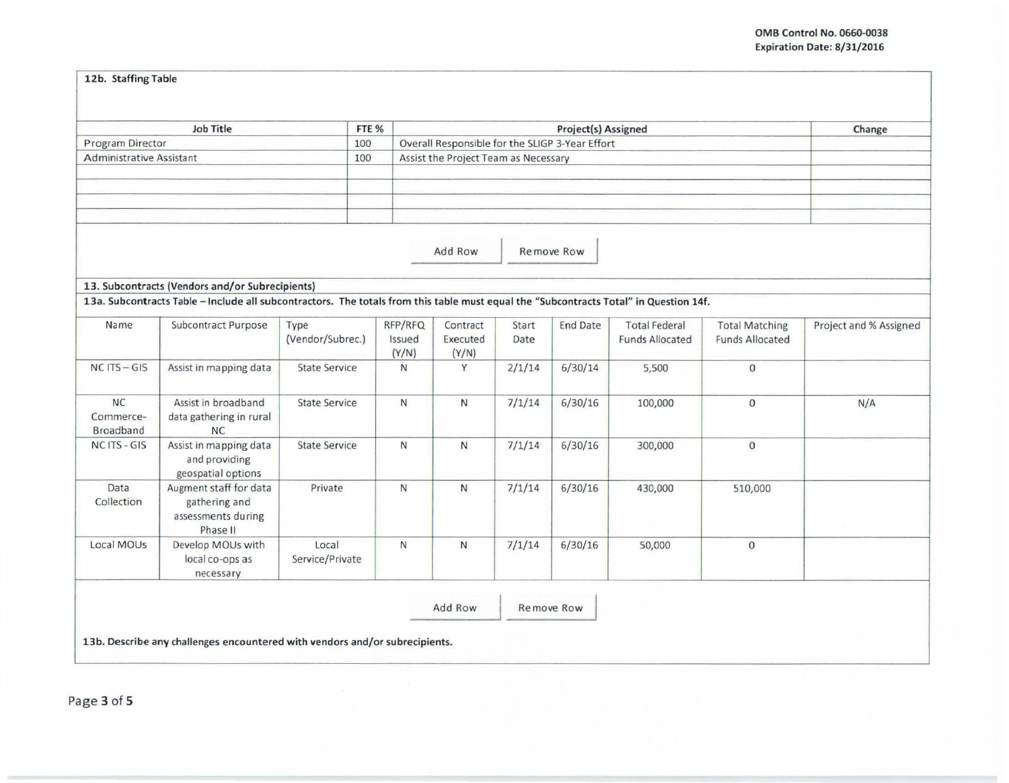## 12b. Staffing Table

| <b>Job Title</b>                |                                                                                                                                       |                          | FTE %        | Project(s) Assigned                             |        |                 |                        |                        | Change                 |
|---------------------------------|---------------------------------------------------------------------------------------------------------------------------------------|--------------------------|--------------|-------------------------------------------------|--------|-----------------|------------------------|------------------------|------------------------|
| <b>Program Director</b><br>100  |                                                                                                                                       |                          |              | Overall Responsible for the SLIGP 3-Year Effort |        |                 |                        |                        |                        |
| <b>Administrative Assistant</b> |                                                                                                                                       | 100                      |              | Assist the Project Team as Necessary            |        |                 |                        |                        |                        |
|                                 |                                                                                                                                       |                          |              |                                                 |        |                 |                        |                        |                        |
|                                 |                                                                                                                                       |                          |              |                                                 |        |                 |                        |                        |                        |
|                                 |                                                                                                                                       |                          |              |                                                 |        |                 |                        |                        |                        |
|                                 |                                                                                                                                       |                          |              |                                                 |        |                 |                        |                        |                        |
|                                 |                                                                                                                                       |                          |              |                                                 |        |                 |                        |                        |                        |
|                                 |                                                                                                                                       |                          |              | Add Row                                         |        | Remove Row      |                        |                        |                        |
|                                 |                                                                                                                                       |                          |              |                                                 |        |                 |                        |                        |                        |
|                                 | 13. Subcontracts (Vendors and/or Subrecipients)                                                                                       |                          |              |                                                 |        |                 |                        |                        |                        |
|                                 | 13a. Subcontracts Table - Include all subcontractors. The totals from this table must equal the "Subcontracts Total" in Question 14f. |                          |              |                                                 |        |                 |                        |                        |                        |
| Name                            | Subcontract Purpose                                                                                                                   | Type                     | RFP/RFQ      | Contract                                        | Start  | <b>End Date</b> | <b>Total Federal</b>   | <b>Total Matching</b>  | Project and % Assigned |
|                                 |                                                                                                                                       | (Vendor/Subrec.)         | Issued       | Executed                                        | Date   |                 | <b>Funds Allocated</b> | <b>Funds Allocated</b> |                        |
|                                 |                                                                                                                                       |                          | (Y/N)        | (Y/N)                                           |        |                 |                        |                        |                        |
| $NC$ ITS $-$ GIS                | Assist in mapping data                                                                                                                | <b>State Service</b>     | N            | Y                                               | 2/1/14 | 6/30/14         | 5,500                  | $\mathbf{0}$           |                        |
|                                 |                                                                                                                                       |                          |              |                                                 |        |                 |                        |                        |                        |
| <b>NC</b>                       | Assist in broadband                                                                                                                   | <b>State Service</b>     | $\mathsf{N}$ | N                                               | 7/1/14 | 6/30/16         | 100,000                | $\overline{0}$         | N/A                    |
| Commerce-                       | data gathering in rural                                                                                                               |                          |              |                                                 |        |                 |                        |                        |                        |
| Broadband                       | NC                                                                                                                                    |                          |              |                                                 |        |                 |                        |                        |                        |
| NC ITS - GIS                    | Assist in mapping data                                                                                                                | <b>State Service</b>     | $\mathsf{N}$ | $\mathsf{N}$                                    | 7/1/14 | 6/30/16         | 300,000                | $\mathbf{0}$           |                        |
|                                 | and providing                                                                                                                         |                          |              |                                                 |        |                 |                        |                        |                        |
|                                 | geospatial options                                                                                                                    |                          |              |                                                 |        |                 |                        |                        |                        |
| Data                            | Augment staff for data                                                                                                                | Private                  | N            | N                                               | 7/1/14 | 6/30/16         | 430,000                | 510,000                |                        |
| Collection                      | gathering and                                                                                                                         |                          |              |                                                 |        |                 |                        |                        |                        |
|                                 | assessments during                                                                                                                    |                          |              |                                                 |        |                 |                        |                        |                        |
|                                 | Phase II                                                                                                                              |                          |              |                                                 |        |                 |                        |                        |                        |
|                                 | Develop MOUs with                                                                                                                     | Local<br>Service/Private | $\mathsf{N}$ | $\mathsf{N}$                                    | 7/1/14 | 6/30/16         | 50,000                 | $\bf{0}$               |                        |
| Local MOUs                      |                                                                                                                                       |                          |              |                                                 |        |                 |                        |                        |                        |
|                                 | local co-ops as                                                                                                                       |                          |              |                                                 |        |                 |                        |                        |                        |
|                                 | necessary                                                                                                                             |                          |              |                                                 |        |                 |                        |                        |                        |
|                                 |                                                                                                                                       |                          |              | Add Row                                         |        | Remove Row      |                        |                        |                        |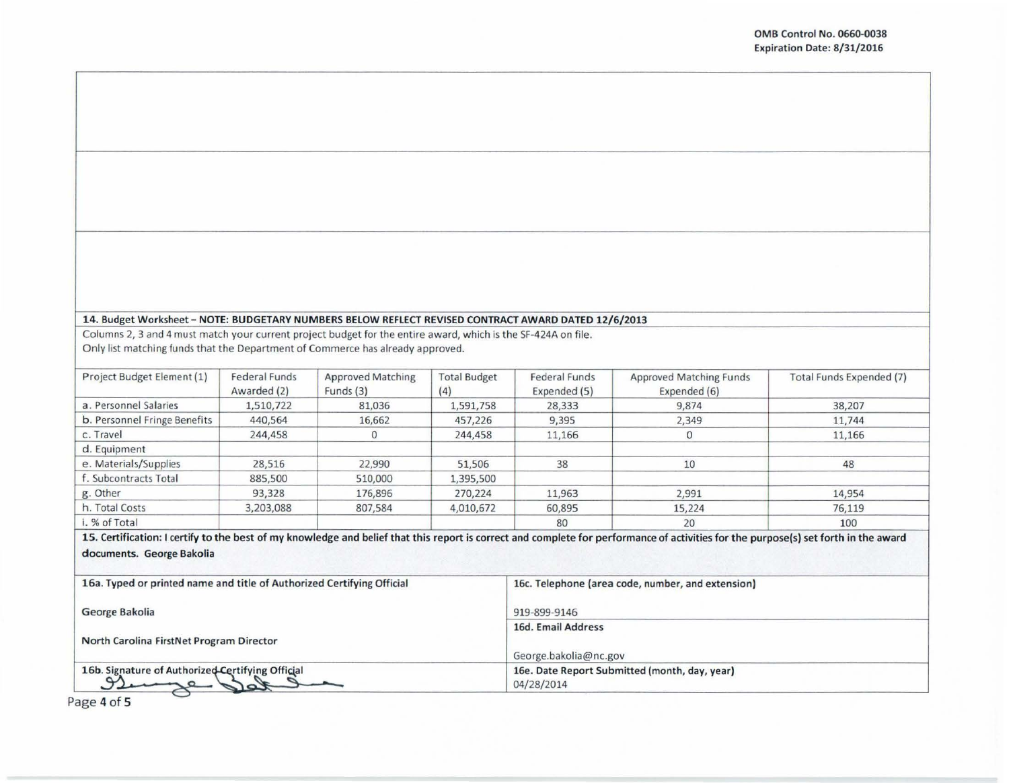## 14. Budget Worksheet - NOTE: BUDGETARY NUMBERS BELOW REFLECT REVISED CONTRACT AWARD DATED 12/6/2013

Columns 2, 3 and 4 must match your current project budget for the entire award, which is the SF-424A on file. Only list matching funds that the Department of Commerce has already approved.

| Project Budget Element (1)   | Federal Funds<br>Awarded (2) | <b>Approved Matching</b><br>Funds (3) | <b>Total Budget</b><br>(4) | <b>Federal Funds</b><br>Expended (5) | <b>Approved Matching Funds</b><br>Expended (6) | Total Funds Expended (7) |
|------------------------------|------------------------------|---------------------------------------|----------------------------|--------------------------------------|------------------------------------------------|--------------------------|
| a. Personnel Salaries        | 1,510,722                    | 81,036                                | 1,591,758                  | 28,333                               | 9,874                                          | 38,207                   |
| b. Personnel Fringe Benefits | 440,564                      | 16,662                                | 457,226                    | 9,395                                | 2,349                                          | 11,744                   |
| c. Travel                    | 244,458                      | 0                                     | 244,458                    | 11,166                               | 0                                              | 11,166                   |
| d. Equipment                 |                              |                                       |                            |                                      |                                                |                          |
| e. Materials/Supplies        | 28,516                       | 22,990                                | 51,506                     | 38                                   | 10                                             | 48                       |
| f. Subcontracts Total        | 885,500                      | 510,000                               | 1,395,500                  |                                      |                                                |                          |
| g. Other                     | 93,328                       | 176,896                               | 270,224                    | 11,963                               | 2,991                                          | 14,954                   |
| h. Total Costs               | 3,203,088                    | 807,584                               | 4,010,672                  | 60,895                               | 15,224                                         | 76,119                   |
| i. % of Total                |                              |                                       |                            | 80                                   | 20                                             | 100                      |

15. Certification: I certify to the best of my knowledge and belief that this report is correct and complete for performance of activities for the purpose(s) set forth in the award documents. George Bakolia

| 16a. Typed or printed name and title of Authorized Certifying Official | 16c. Telephone (area code, number, and extension) |
|------------------------------------------------------------------------|---------------------------------------------------|
| George Bakolia                                                         | 919-899-9146                                      |
|                                                                        | 16d, Email Address                                |
| North Carolina FirstNet Program Director                               |                                                   |
|                                                                        | George.bakolia@nc.gov                             |
| 16b. Signature of Authorized Certifying Official                       | 16e. Date Report Submitted (month, day, year)     |
|                                                                        | 04/28/2014                                        |

Page 4 of 5